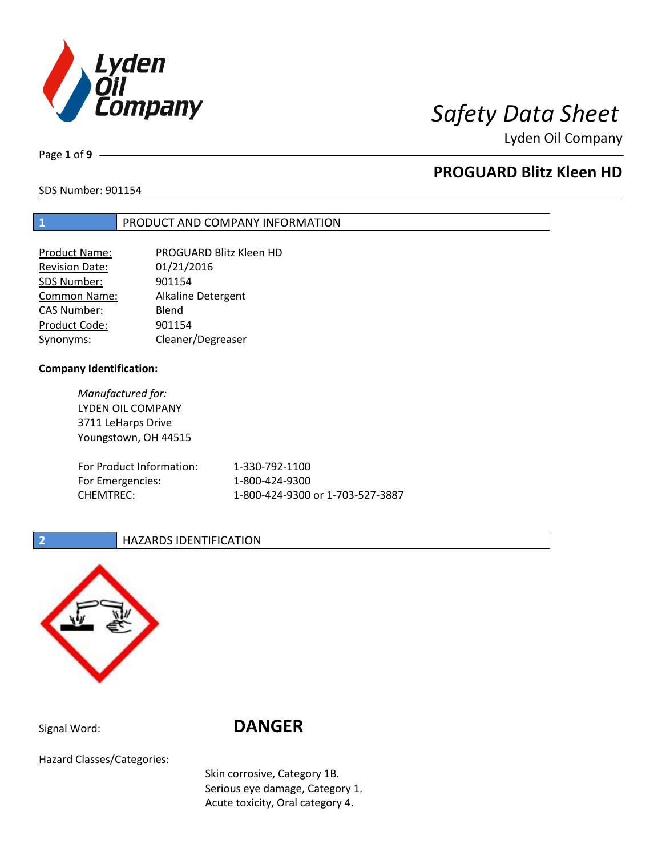

Lyden Oil Company

Page **1** of **9**

## **PROGUARD Blitz Kleen HD**

SDS Number: 901154

### **1** PRODUCT AND COMPANY INFORMATION

| <b>Product Name:</b>  | PROGUARD Blitz Kleen HD |
|-----------------------|-------------------------|
| <b>Revision Date:</b> | 01/21/2016              |
| SDS Number:           | 901154                  |
| Common Name:          | Alkaline Detergent      |
| <b>CAS Number:</b>    | Blend                   |
| Product Code:         | 901154                  |
| Synonyms:             | Cleaner/Degreaser       |

### **Company Identification:**

*Manufactured for:* LYDEN OIL COMPANY 3711 LeHarps Drive Youngstown, OH 44515

| For Product Information: | 1-330-792-1100                   |
|--------------------------|----------------------------------|
| For Emergencies:         | 1-800-424-9300                   |
| CHEMTREC:                | 1-800-424-9300 or 1-703-527-3887 |

### **2 HAZARDS IDENTIFICATION**



# Signal Word: **DANGER**

Hazard Classes/Categories:

Skin corrosive, Category 1B. Serious eye damage, Category 1. Acute toxicity, Oral category 4.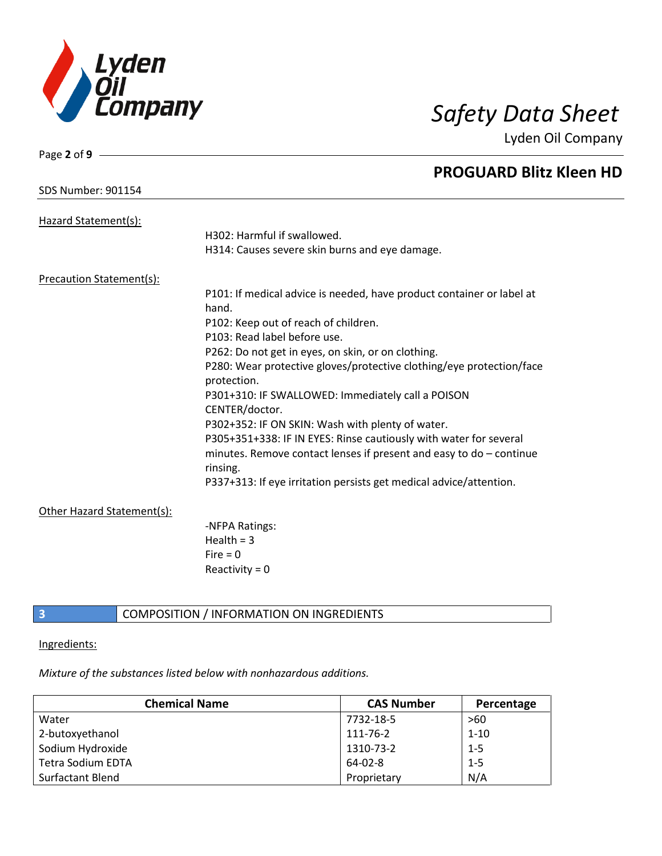

Lyden Oil Company

| Page 2 of 9 $-$            |                                                                       |
|----------------------------|-----------------------------------------------------------------------|
|                            | <b>PROGUARD Blitz Kleen HD</b>                                        |
| <b>SDS Number: 901154</b>  |                                                                       |
| Hazard Statement(s):       |                                                                       |
|                            | H302: Harmful if swallowed.                                           |
|                            | H314: Causes severe skin burns and eye damage.                        |
| Precaution Statement(s):   |                                                                       |
|                            | P101: If medical advice is needed, have product container or label at |
|                            | hand.                                                                 |
|                            | P102: Keep out of reach of children.                                  |
|                            | P103: Read label before use.                                          |
|                            | P262: Do not get in eyes, on skin, or on clothing.                    |
|                            | P280: Wear protective gloves/protective clothing/eye protection/face  |
|                            | protection.                                                           |
|                            | P301+310: IF SWALLOWED: Immediately call a POISON<br>CENTER/doctor.   |
|                            | P302+352: IF ON SKIN: Wash with plenty of water.                      |
|                            | P305+351+338: IF IN EYES: Rinse cautiously with water for several     |
|                            | minutes. Remove contact lenses if present and easy to do - continue   |
|                            | rinsing.                                                              |
|                            | P337+313: If eye irritation persists get medical advice/attention.    |
| Other Hazard Statement(s): |                                                                       |
|                            | -NFPA Ratings:                                                        |
|                            | Health = $3$                                                          |
|                            | Fire $= 0$                                                            |
|                            | Reactivity = $0$                                                      |
|                            |                                                                       |

### **3** COMPOSITION / INFORMATION ON INGREDIENTS

Ingredients:

*Mixture of the substances listed below with nonhazardous additions.*

| <b>Chemical Name</b>     | <b>CAS Number</b> | Percentage |
|--------------------------|-------------------|------------|
| Water                    | 7732-18-5         | >60        |
| 2-butoxyethanol          | 111-76-2          | $1 - 10$   |
| Sodium Hydroxide         | 1310-73-2         | $1 - 5$    |
| <b>Tetra Sodium EDTA</b> | 64-02-8           | $1 - 5$    |
| Surfactant Blend         | Proprietary       | N/A        |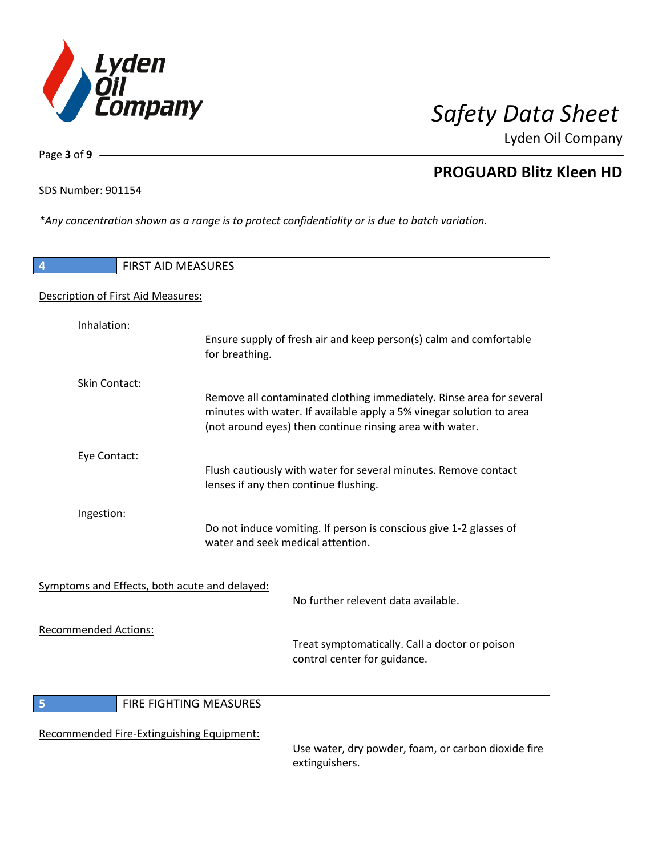

Lyden Oil Company

SDS Number: 901154

Page **3** of **9**

*\*Any concentration shown as a range is to protect confidentiality or is due to batch variation.*

| $\overline{4}$                                | <b>FIRST AID MEASURES</b>                                                                                                                                                                                |
|-----------------------------------------------|----------------------------------------------------------------------------------------------------------------------------------------------------------------------------------------------------------|
| Description of First Aid Measures:            |                                                                                                                                                                                                          |
| Inhalation:                                   | Ensure supply of fresh air and keep person(s) calm and comfortable<br>for breathing.                                                                                                                     |
| Skin Contact:                                 |                                                                                                                                                                                                          |
|                                               | Remove all contaminated clothing immediately. Rinse area for several<br>minutes with water. If available apply a 5% vinegar solution to area<br>(not around eyes) then continue rinsing area with water. |
| Eye Contact:                                  | Flush cautiously with water for several minutes. Remove contact<br>lenses if any then continue flushing.                                                                                                 |
| Ingestion:                                    | Do not induce vomiting. If person is conscious give 1-2 glasses of<br>water and seek medical attention.                                                                                                  |
| Symptoms and Effects, both acute and delayed: | No further relevent data available.                                                                                                                                                                      |
| <b>Recommended Actions:</b>                   | Treat symptomatically. Call a doctor or poison<br>control center for guidance.                                                                                                                           |
| 5                                             | FIRE FIGHTING MEASURES                                                                                                                                                                                   |
| Recommended Fire-Extinguishing Equipment:     |                                                                                                                                                                                                          |

Use water, dry powder, foam, or carbon dioxide fire extinguishers.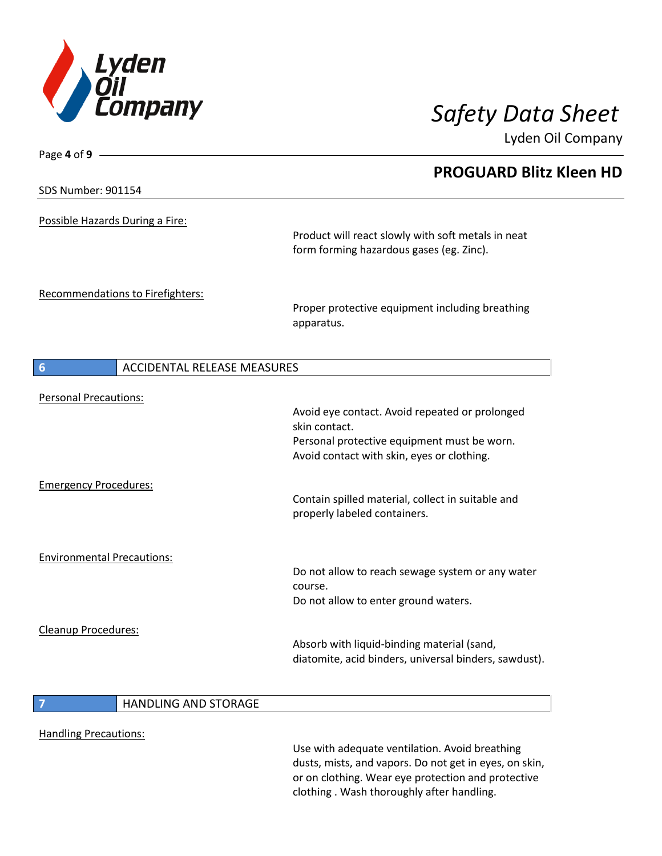

Lyden Oil Company

| <b>SDS Number: 901154</b><br>Possible Hazards During a Fire: | <b>PROGUARD Blitz Kleen HD</b><br>Product will react slowly with soft metals in neat<br>form forming hazardous gases (eg. Zinc). |
|--------------------------------------------------------------|----------------------------------------------------------------------------------------------------------------------------------|
|                                                              |                                                                                                                                  |
|                                                              |                                                                                                                                  |
|                                                              |                                                                                                                                  |
| Recommendations to Firefighters:                             |                                                                                                                                  |
|                                                              | Proper protective equipment including breathing<br>apparatus.                                                                    |
| <b>ACCIDENTAL RELEASE MEASURES</b>                           |                                                                                                                                  |
| <b>Personal Precautions:</b>                                 |                                                                                                                                  |
|                                                              | Avoid eye contact. Avoid repeated or prolonged<br>skin contact.                                                                  |
|                                                              | Personal protective equipment must be worn.                                                                                      |
|                                                              | Avoid contact with skin, eyes or clothing.                                                                                       |
| <b>Emergency Procedures:</b>                                 |                                                                                                                                  |
|                                                              | Contain spilled material, collect in suitable and<br>properly labeled containers.                                                |
| <b>Environmental Precautions:</b>                            |                                                                                                                                  |
|                                                              | Do not allow to reach sewage system or any water<br>course.                                                                      |
|                                                              | Do not allow to enter ground waters.                                                                                             |
| <b>Cleanup Procedures:</b>                                   |                                                                                                                                  |
|                                                              | Absorb with liquid-binding material (sand,                                                                                       |
|                                                              | diatomite, acid binders, universal binders, sawdust).                                                                            |
| <b>HANDLING AND STORAGE</b>                                  |                                                                                                                                  |
| <b>Handling Precautions:</b>                                 |                                                                                                                                  |

Use with adequate ventilation. Avoid breathing dusts, mists, and vapors. Do not get in eyes, on skin, or on clothing. Wear eye protection and protective clothing . Wash thoroughly after handling.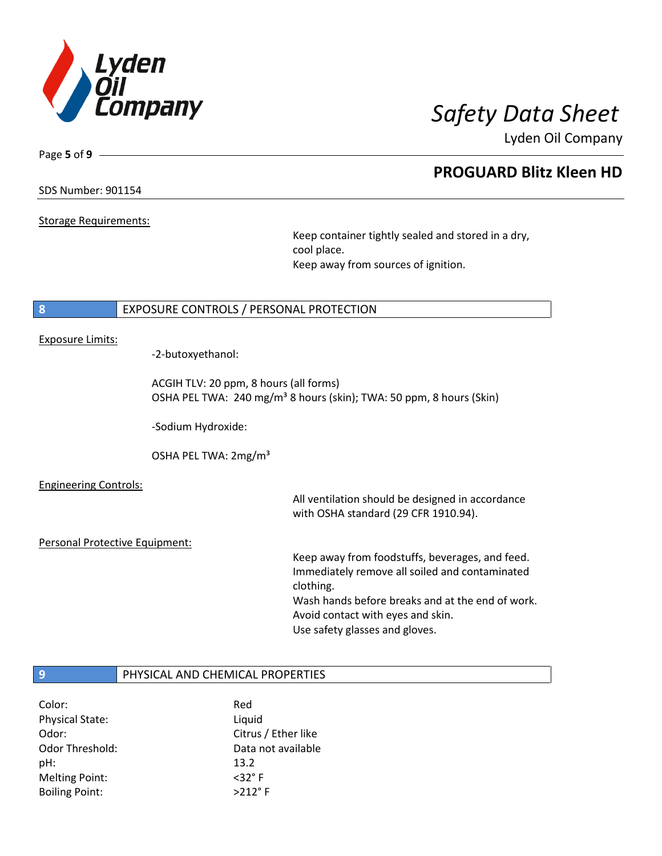

Lyden Oil Company

SDS Number: 901154

Page **5** of **9**

Storage Requirements:

Keep container tightly sealed and stored in a dry, cool place. Keep away from sources of ignition.

### **8** EXPOSURE CONTROLS / PERSONAL PROTECTION

### Exposure Limits:

-2-butoxyethanol:

ACGIH TLV: 20 ppm, 8 hours (all forms) OSHA PEL TWA: 240 mg/m<sup>3</sup> 8 hours (skin); TWA: 50 ppm, 8 hours (Skin)

-Sodium Hydroxide:

OSHA PEL TWA: 2mg/m³

Engineering Controls:

All ventilation should be designed in accordance with OSHA standard (29 CFR 1910.94).

Personal Protective Equipment:

Keep away from foodstuffs, beverages, and feed. Immediately remove all soiled and contaminated clothing. Wash hands before breaks and at the end of work. Avoid contact with eyes and skin. Use safety glasses and gloves.

### **9** PHYSICAL AND CHEMICAL PROPERTIES

| Color:                 | Red                 |
|------------------------|---------------------|
| <b>Physical State:</b> | Liquid              |
| Odor:                  | Citrus / Ether like |
| Odor Threshold:        | Data not available  |
| pH:                    | 13.2                |
| <b>Melting Point:</b>  | $<$ 32 $\degree$ F  |
| <b>Boiling Point:</b>  | $>212$ °F           |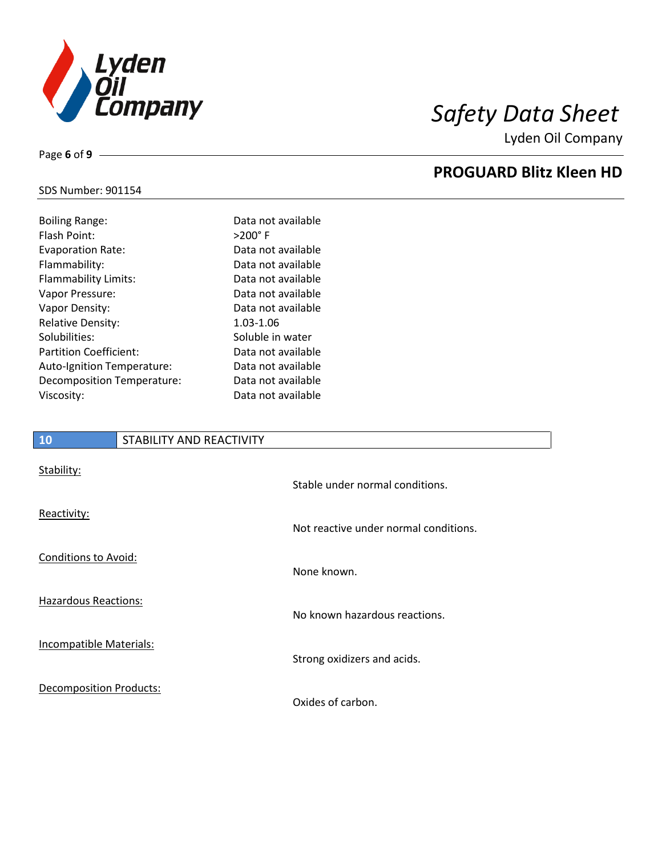

Lyden Oil Company

### SDS Number: 901154

| <b>Boiling Range:</b>         | Data not available |
|-------------------------------|--------------------|
| Flash Point:                  | $>200^\circ$ F     |
| Evaporation Rate:             | Data not available |
| Flammability:                 | Data not available |
| Flammability Limits:          | Data not available |
| Vapor Pressure:               | Data not available |
| Vapor Density:                | Data not available |
| <b>Relative Density:</b>      | 1.03-1.06          |
| Solubilities:                 | Soluble in water   |
| <b>Partition Coefficient:</b> | Data not available |
| Auto-Ignition Temperature:    | Data not available |
| Decomposition Temperature:    | Data not available |
| Viscosity:                    | Data not available |
|                               |                    |

# **10** STABILITY AND REACTIVITY Stability: Stable under normal conditions. Reactivity: Not reactive under normal conditions. Conditions to Avoid: None known. Hazardous Reactions: No known hazardous reactions. Incompatible Materials: Strong oxidizers and acids.

Decomposition Products:

Oxides of carbon.

### Page **6** of **9**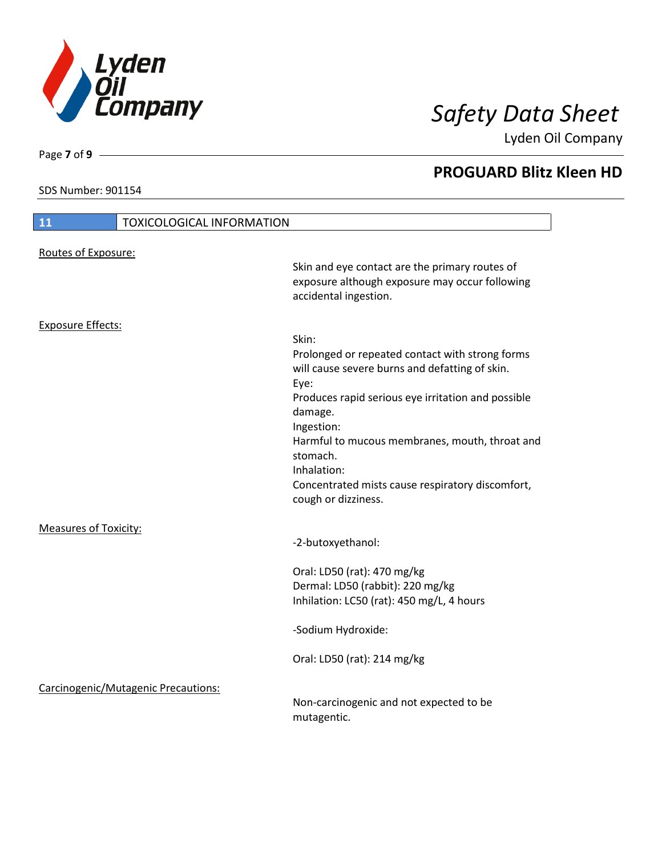

Lyden Oil Company

SDS Number: 901154

Page **7** of **9**

I

| 11                           | <b>TOXICOLOGICAL INFORMATION</b>    |                                                                                                                                                                                                                                                                                                                                                           |
|------------------------------|-------------------------------------|-----------------------------------------------------------------------------------------------------------------------------------------------------------------------------------------------------------------------------------------------------------------------------------------------------------------------------------------------------------|
| Routes of Exposure:          |                                     |                                                                                                                                                                                                                                                                                                                                                           |
|                              |                                     | Skin and eye contact are the primary routes of<br>exposure although exposure may occur following<br>accidental ingestion.                                                                                                                                                                                                                                 |
| <b>Exposure Effects:</b>     |                                     |                                                                                                                                                                                                                                                                                                                                                           |
|                              |                                     | Skin:<br>Prolonged or repeated contact with strong forms<br>will cause severe burns and defatting of skin.<br>Eye:<br>Produces rapid serious eye irritation and possible<br>damage.<br>Ingestion:<br>Harmful to mucous membranes, mouth, throat and<br>stomach.<br>Inhalation:<br>Concentrated mists cause respiratory discomfort,<br>cough or dizziness. |
| <b>Measures of Toxicity:</b> |                                     | -2-butoxyethanol:                                                                                                                                                                                                                                                                                                                                         |
|                              |                                     | Oral: LD50 (rat): 470 mg/kg<br>Dermal: LD50 (rabbit): 220 mg/kg<br>Inhilation: LC50 (rat): 450 mg/L, 4 hours                                                                                                                                                                                                                                              |
|                              |                                     | -Sodium Hydroxide:                                                                                                                                                                                                                                                                                                                                        |
|                              |                                     | Oral: LD50 (rat): 214 mg/kg                                                                                                                                                                                                                                                                                                                               |
|                              | Carcinogenic/Mutagenic Precautions: | Non-carcinogenic and not expected to be<br>mutagentic.                                                                                                                                                                                                                                                                                                    |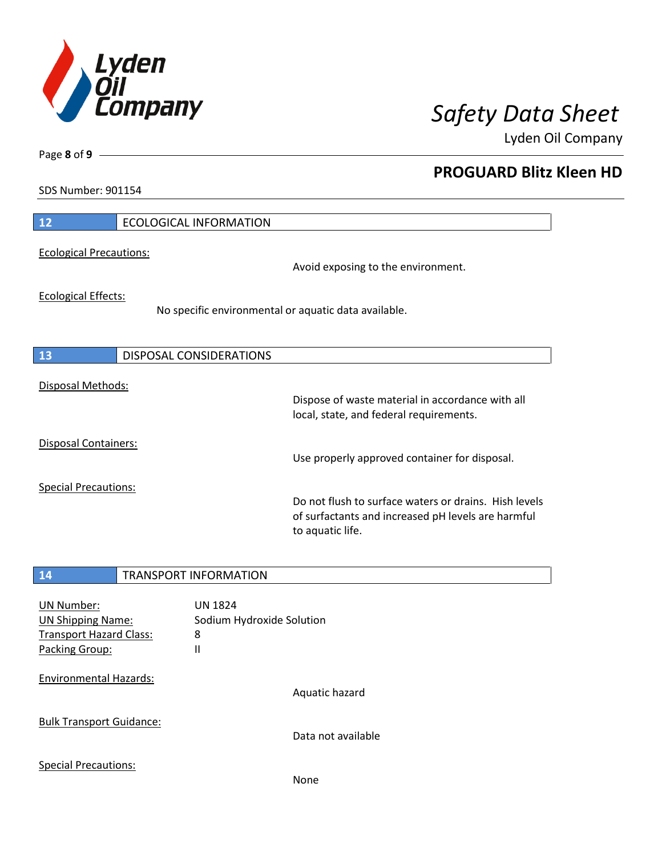

Lyden Oil Company

SDS Number: 901154

Page **8** of **9**

| 12                             | <b>ECOLOGICAL INFORMATION</b>                        |                                                                                                                                 |
|--------------------------------|------------------------------------------------------|---------------------------------------------------------------------------------------------------------------------------------|
| <b>Ecological Precautions:</b> |                                                      | Avoid exposing to the environment.                                                                                              |
| <b>Ecological Effects:</b>     | No specific environmental or aquatic data available. |                                                                                                                                 |
| 13                             | DISPOSAL CONSIDERATIONS                              |                                                                                                                                 |
| Disposal Methods:              |                                                      | Dispose of waste material in accordance with all<br>local, state, and federal requirements.                                     |
| <b>Disposal Containers:</b>    |                                                      | Use properly approved container for disposal.                                                                                   |
| <b>Special Precautions:</b>    |                                                      | Do not flush to surface waters or drains. Hish levels<br>of surfactants and increased pH levels are harmful<br>to aquatic life. |

# **14** TRANSPORT INFORMATION UN Number: UN 1824 UN Shipping Name: Sodium Hydroxide Solution Transport Hazard Class: 8 Packing Group: II Environmental Hazards: Aquatic hazard Bulk Transport Guidance: Data not available Special Precautions: None